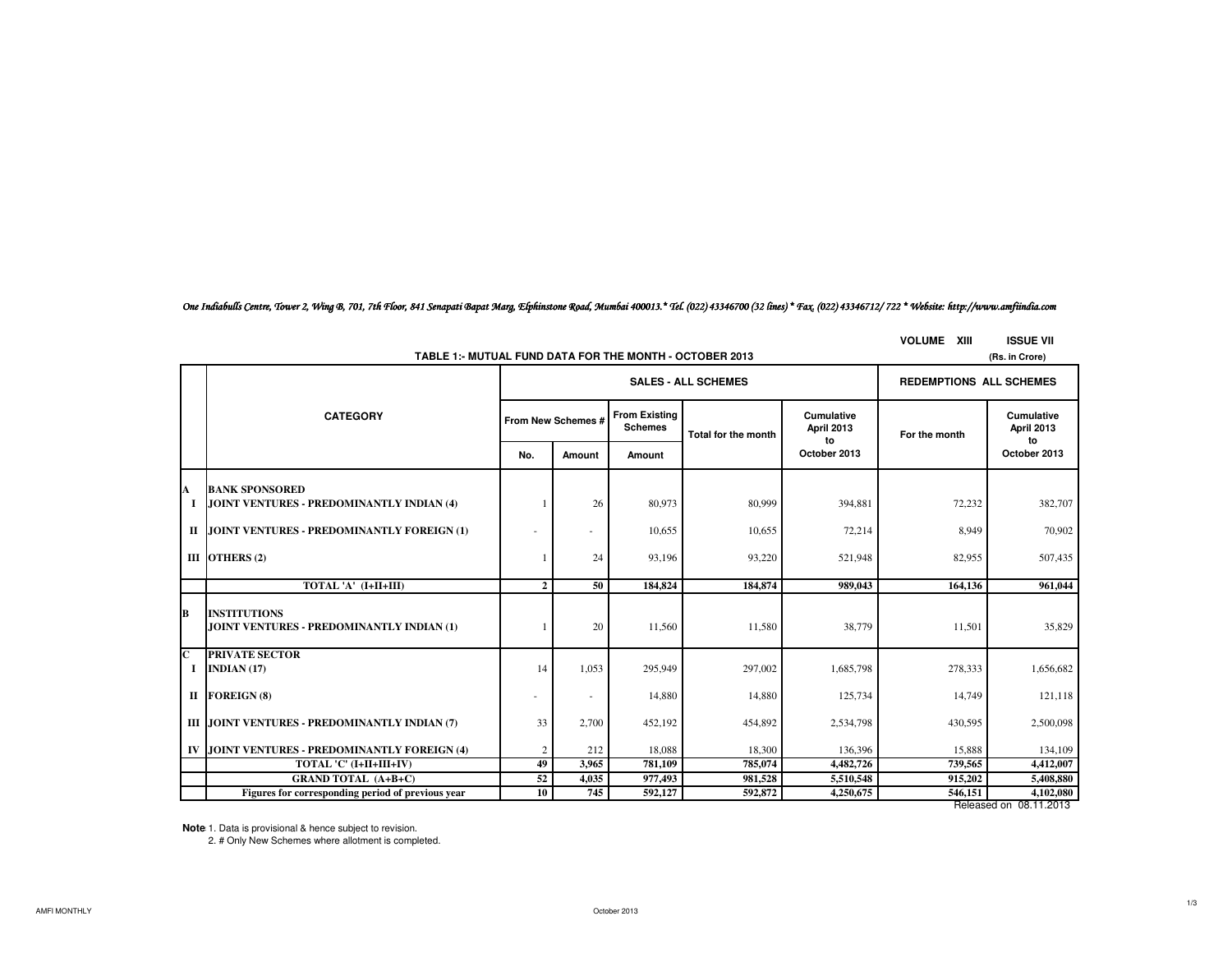*One Indiabulls Centre, Tower 2, Wing B, 701, 7th Floor, 841 Senapati Bapat Marg, Elphinstone Road, Mumbai 400013.\* Tel. (022) 43346700 (32 lines) \* Fax. (022) 43346712/ 722 \* Website: http://www.amfiindia.com*

**VOLUME XIII ISSUE VII**

| TABLE 1:- MUTUAL FUND DATA FOR THE MONTH - OCTOBER 2013<br>(Rs. in Crore) |                                                                  |                            |                    |                                        |                     |                                |                                |                                       |  |
|---------------------------------------------------------------------------|------------------------------------------------------------------|----------------------------|--------------------|----------------------------------------|---------------------|--------------------------------|--------------------------------|---------------------------------------|--|
|                                                                           |                                                                  | <b>SALES - ALL SCHEMES</b> |                    |                                        |                     |                                | <b>REDEMPTIONS ALL SCHEMES</b> |                                       |  |
|                                                                           | <b>CATEGORY</b>                                                  |                            | From New Schemes # | <b>From Existing</b><br><b>Schemes</b> | Total for the month | Cumulative<br>April 2013<br>to | For the month                  | <b>Cumulative</b><br>April 2013<br>to |  |
|                                                                           |                                                                  | No.                        | Amount             | Amount                                 |                     | October 2013                   |                                | October 2013                          |  |
| A                                                                         | <b>BANK SPONSORED</b>                                            |                            |                    |                                        |                     |                                |                                |                                       |  |
| <b>I</b>                                                                  | JOINT VENTURES - PREDOMINANTLY INDIAN (4)                        |                            | 26                 | 80,973                                 | 80,999              | 394,881                        | 72,232                         | 382,707                               |  |
|                                                                           | II JOINT VENTURES - PREDOMINANTLY FOREIGN (1)                    |                            | ä,                 | 10,655                                 | 10,655              | 72,214                         | 8,949                          | 70,902                                |  |
|                                                                           | III OTHERS (2)                                                   |                            | 24                 | 93,196                                 | 93,220              | 521,948                        | 82,955                         | 507,435                               |  |
|                                                                           | TOTAL 'A' (I+II+III)                                             | $\mathbf{2}$               | 50                 | 184,824                                | 184,874             | 989,043                        | 164.136                        | 961,044                               |  |
| В                                                                         | <b>INSTITUTIONS</b><br>JOINT VENTURES - PREDOMINANTLY INDIAN (1) |                            | 20                 | 11,560                                 | 11,580              | 38,779                         | 11,501                         | 35,829                                |  |
| $\overline{\mathbf{C}}$                                                   | <b>PRIVATE SECTOR</b><br>I INDIAN $(17)$                         | 14                         | 1,053              | 295,949                                | 297,002             | 1,685,798                      | 278,333                        | 1,656,682                             |  |
|                                                                           | II FOREIGN (8)                                                   | ٠                          | $\sim$             | 14,880                                 | 14,880              | 125,734                        | 14,749                         | 121,118                               |  |
|                                                                           | <b>III JOINT VENTURES - PREDOMINANTLY INDIAN (7)</b>             | 33                         | 2,700              | 452,192                                | 454,892             | 2,534,798                      | 430,595                        | 2,500,098                             |  |
|                                                                           | IV JOINT VENTURES - PREDOMINANTLY FOREIGN (4)                    | $\overline{c}$             | 212                | 18,088                                 | 18,300              | 136,396                        | 15,888                         | 134,109                               |  |
|                                                                           | TOTAL 'C' (I+II+III+IV)                                          | 49                         | 3,965              | 781,109                                | 785,074             | 4,482,726                      | 739,565                        | 4,412,007                             |  |
|                                                                           | <b>GRAND TOTAL (A+B+C)</b>                                       | 52                         | 4,035              | 977,493                                | 981,528             | 5,510,548                      | 915,202                        | 5,408,880                             |  |
|                                                                           | Figures for corresponding period of previous year                | 10                         | 745                | 592,127                                | 592,872             | 4,250,675                      | 546,151                        | 4,102,080                             |  |

Released on 08.11.2013

**Notes:**1. Data is provisional & hence subject to revision.

2. # Only New Schemes where allotment is completed.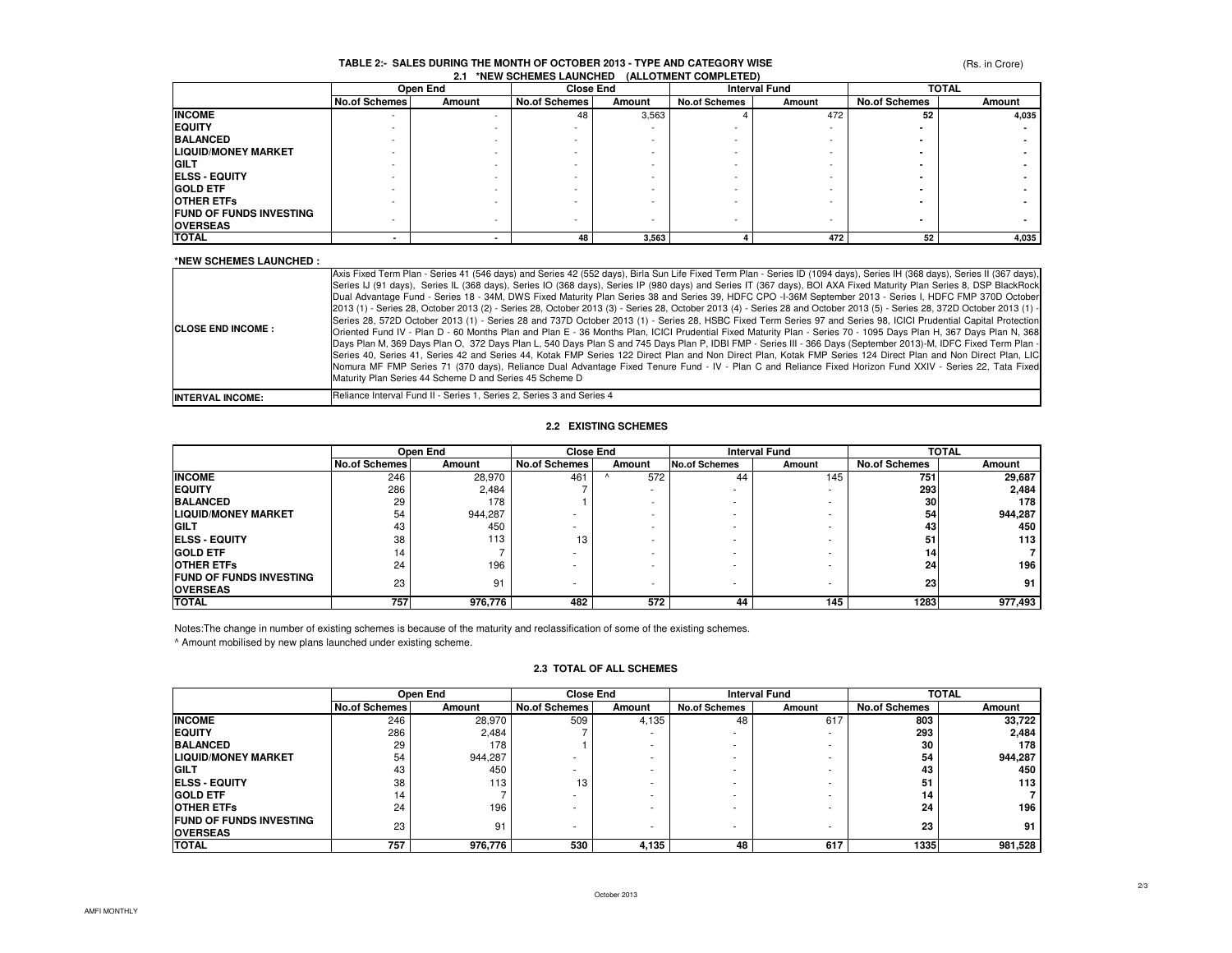# **TABLE 2:- SALES DURING THE MONTH OF OCTOBER 2013 - TYPE AND CATEGORY WISE 2.1 \*NEW SCHEMES LAUNCHED (ALLOTMENT COMPLETED)**

(Rs. in Crore)

|                                | Open End             |        | <b>Close End</b>         |        | <b>Interval Fund</b> |        | <b>TOTAL</b>         |        |
|--------------------------------|----------------------|--------|--------------------------|--------|----------------------|--------|----------------------|--------|
|                                | <b>No.of Schemes</b> | Amount | <b>No.of Schemes</b>     | Amount | <b>No.of Schemes</b> | Amount | <b>No.of Schemes</b> | Amount |
| <b>INCOME</b>                  |                      |        | 48                       | 3,563  |                      | 472    | 52                   | 4,035  |
| <b>EQUITY</b>                  |                      |        |                          |        |                      |        |                      |        |
| <b>BALANCED</b>                |                      |        |                          |        |                      |        |                      |        |
| <b>LIQUID/MONEY MARKET</b>     |                      |        |                          |        |                      |        |                      |        |
| <b>GILT</b>                    |                      |        |                          |        |                      |        |                      |        |
| <b>ELSS - EQUITY</b>           |                      |        |                          |        |                      |        |                      |        |
| <b>GOLD ETF</b>                |                      |        | -                        |        |                      |        |                      |        |
| <b>OTHER ETFS</b>              |                      |        |                          |        |                      |        |                      |        |
| <b>FUND OF FUNDS INVESTING</b> |                      |        |                          |        |                      |        |                      |        |
| <b>OVERSEAS</b>                |                      |        | $\overline{\phantom{a}}$ |        | ۰                    |        |                      |        |
| <b>TOTAL</b>                   |                      |        | 48                       | 3,563  |                      | 472    | 52                   | 4,035  |

#### **\*NEW SCHEMES LAUNCHED :**

| <b>ICLOSE END INCOME :</b> | Axis Fixed Term Plan - Series 41 (546 days) and Series 42 (552 days), Birla Sun Life Fixed Term Plan - Series ID (1094 days), Series IH (368 days), Series II (367 days),<br>Series IJ (91 days), Series IL (368 days), Series IO (368 days), Series IP (980 days) and Series IT (367 days), BOI AXA Fixed Maturity Plan Series 8, DSP BlackRock<br>Dual Advantage Fund - Series 18 - 34M, DWS Fixed Maturity Plan Series 38 and Series 39, HDFC CPO -I-36M September 2013 - Series I, HDFC FMP 370D October<br>2013 (1) - Series 28, October 2013 (2) - Series 28, October 2013 (3) - Series 28, October 2013 (4) - Series 28 and October 2013 (5) - Series 28, 372D October 2013 (1) -<br>Series 28, 572D October 2013 (1) - Series 28 and 737D October 2013 (1) - Series 28, HSBC Fixed Term Series 97 and Series 98, ICICI Prudential Capital Protection<br>Oriented Fund IV - Plan D - 60 Months Plan and Plan E - 36 Months Plan, ICICI Prudential Fixed Maturity Plan - Series 70 - 1095 Days Plan H, 367 Days Plan N, 368<br>Days Plan M, 369 Days Plan O, 372 Days Plan L, 540 Days Plan S and 745 Days Plan P, IDBI FMP - Series III - 366 Days (September 2013)-M, IDFC Fixed Term Plan -<br>Series 40, Series 41, Series 42 and Series 44, Kotak FMP Series 122 Direct Plan and Non Direct Plan, Kotak FMP Series 124 Direct Plan and Non Direct Plan, LIC<br>Nomura MF FMP Series 71 (370 days), Reliance Dual Advantage Fixed Tenure Fund - IV - Plan C and Reliance Fixed Horizon Fund XXIV - Series 22, Tata Fixed<br>Maturity Plan Series 44 Scheme D and Series 45 Scheme D |
|----------------------------|-----------------------------------------------------------------------------------------------------------------------------------------------------------------------------------------------------------------------------------------------------------------------------------------------------------------------------------------------------------------------------------------------------------------------------------------------------------------------------------------------------------------------------------------------------------------------------------------------------------------------------------------------------------------------------------------------------------------------------------------------------------------------------------------------------------------------------------------------------------------------------------------------------------------------------------------------------------------------------------------------------------------------------------------------------------------------------------------------------------------------------------------------------------------------------------------------------------------------------------------------------------------------------------------------------------------------------------------------------------------------------------------------------------------------------------------------------------------------------------------------------------------------------------------------------------------------------------------------|
| <b>INTERVAL INCOME:</b>    | Reliance Interval Fund II - Series 1, Series 2, Series 3 and Series 4                                                                                                                                                                                                                                                                                                                                                                                                                                                                                                                                                                                                                                                                                                                                                                                                                                                                                                                                                                                                                                                                                                                                                                                                                                                                                                                                                                                                                                                                                                                         |

#### **2.2 EXISTING SCHEMES**

|                                | Open End             |         | <b>Close End</b>     |        | <b>Interval Fund</b> |        | <b>TOTAL</b>         |         |
|--------------------------------|----------------------|---------|----------------------|--------|----------------------|--------|----------------------|---------|
|                                | <b>No.of Schemes</b> | Amount  | <b>No.of Schemes</b> | Amount | <b>No.of Schemes</b> | Amount | <b>No.of Schemes</b> | Amount  |
| <b>INCOME</b>                  | 246                  | 28.970  | 461                  | 572    | 44                   | 145    | 751                  | 29,687  |
| <b>EQUITY</b>                  | 286                  | 2.484   |                      | -      |                      | ٠      | 293                  | 2,484   |
| <b>BALANCED</b>                | 29                   | 178     |                      |        |                      |        | 30                   | 178     |
| <b>LIQUID/MONEY MARKET</b>     | 54                   | 944,287 |                      |        |                      |        | 54                   | 944,287 |
| <b>GILT</b>                    | 43                   | 450     |                      |        |                      |        | 43                   | 450     |
| <b>IELSS - EQUITY</b>          | 38                   | 113     | 13                   |        |                      |        | 51                   | 113     |
| <b>GOLD ETF</b>                | 14                   |         | ۰                    |        |                      |        | 14                   |         |
| <b>OTHER ETFS</b>              | 24                   | 196     |                      |        |                      | ٠      | 24                   | 196     |
| <b>FUND OF FUNDS INVESTING</b> | 23                   | 91      |                      |        |                      |        | 23                   | 91      |
| <b>OVERSEAS</b>                |                      |         |                      |        |                      | ٠      |                      |         |
| <b>TOTAL</b>                   | 757                  | 976,776 | 482                  | 572    | 44                   | 145    | 1283                 | 977,493 |

Notes:The change in number of existing schemes is because of the maturity and reclassification of some of the existing schemes.

^ Amount mobilised by new plans launched under existing scheme.

|                                | Open End             |         | <b>Close End</b>     |        | <b>Interval Fund</b> |        | <b>TOTAL</b>         |         |
|--------------------------------|----------------------|---------|----------------------|--------|----------------------|--------|----------------------|---------|
|                                | <b>No.of Schemes</b> | Amount  | <b>No.of Schemes</b> | Amount | <b>No.of Schemes</b> | Amount | <b>No.of Schemes</b> | Amount  |
| <b>INCOME</b>                  | 246                  | 28,970  | 509                  | 4,135  | 48                   | 617    | 803                  | 33,722  |
| <b>EQUITY</b>                  | 286                  | 2.484   |                      |        |                      |        | 293                  | 2,484   |
| <b>BALANCED</b>                | 29                   | 178     |                      |        |                      |        | 30                   | 178     |
| <b>LIQUID/MONEY MARKET</b>     | 54                   | 944,287 |                      |        |                      |        | 54                   | 944,287 |
| <b>GILT</b>                    | 43                   | 450     |                      |        |                      |        | 43                   | 450     |
| <b>IELSS - EQUITY</b>          | 38                   | 113     | 13                   |        |                      |        | 51                   | 113     |
| <b>GOLD ETF</b>                | 14                   |         |                      |        |                      |        | 14                   |         |
| <b>OTHER ETFS</b>              | 24                   | 196     |                      |        |                      |        | 24                   | 196     |
| <b>FUND OF FUNDS INVESTING</b> | 23                   | 91      |                      |        |                      |        | 23                   | 91      |
| <b>OVERSEAS</b>                |                      |         |                      |        |                      |        |                      |         |
| <b>TOTAL</b>                   | 757                  | 976,776 | 530                  | 4.135  | 48                   | 617    | 1335                 | 981,528 |

#### **2.3 TOTAL OF ALL SCHEMES**